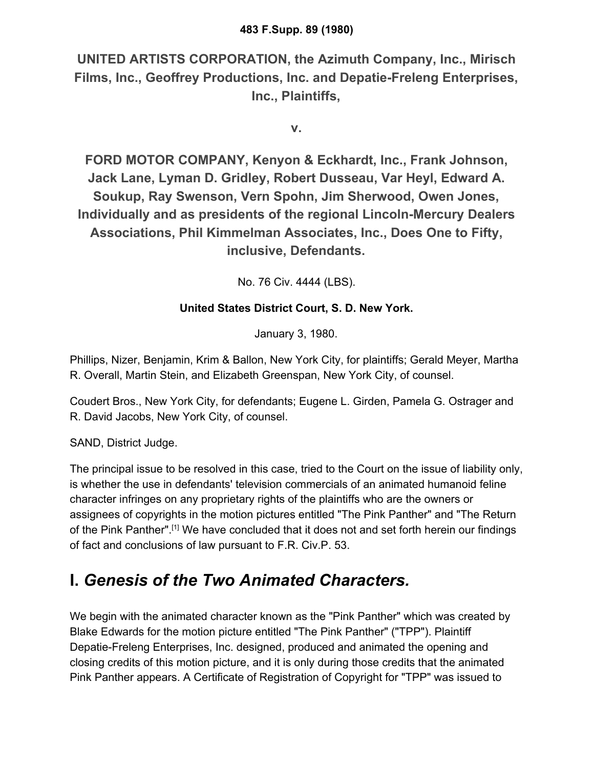**UNITED ARTISTS CORPORATION, the Azimuth Company, Inc., Mirisch Films, Inc., Geoffrey Productions, Inc. and Depatie-Freleng Enterprises, Inc., Plaintiffs,**

**v.**

**FORD MOTOR COMPANY, Kenyon & Eckhardt, Inc., Frank Johnson, Jack Lane, Lyman D. Gridley, Robert Dusseau, Var Heyl, Edward A. Soukup, Ray Swenson, Vern Spohn, Jim Sherwood, Owen Jones, Individually and as presidents of the regional Lincoln-Mercury Dealers Associations, Phil Kimmelman Associates, Inc., Does One to Fifty, inclusive, Defendants.**

No. 76 Civ. 4444 (LBS).

### **United States District Court, S. D. New York.**

January 3, 1980.

Phillips, Nizer, Benjamin, Krim & Ballon, New York City, for plaintiffs; Gerald Meyer, Martha R. Overall, Martin Stein, and Elizabeth Greenspan, New York City, of counsel.

Coudert Bros., New York City, for defendants; Eugene L. Girden, Pamela G. Ostrager and R. David Jacobs, New York City, of counsel.

SAND, District Judge.

The principal issue to be resolved in this case, tried to the Court on the issue of liability only, is whether the use in defendants' television commercials of an animated humanoid feline character infringes on any proprietary rights of the plaintiffs who are the owners or assignees of copyrights in the motion pictures entitled "The Pink Panther" and "The Return of the Pink Panther".[1] We have concluded that it does not and set forth herein our findings of fact and conclusions of law pursuant to F.R. Civ.P. 53.

# **I.** *Genesis of the Two Animated Characters.*

We begin with the animated character known as the "Pink Panther" which was created by Blake Edwards for the motion picture entitled "The Pink Panther" ("TPP"). Plaintiff Depatie-Freleng Enterprises, Inc. designed, produced and animated the opening and closing credits of this motion picture, and it is only during those credits that the animated Pink Panther appears. A Certificate of Registration of Copyright for "TPP" was issued to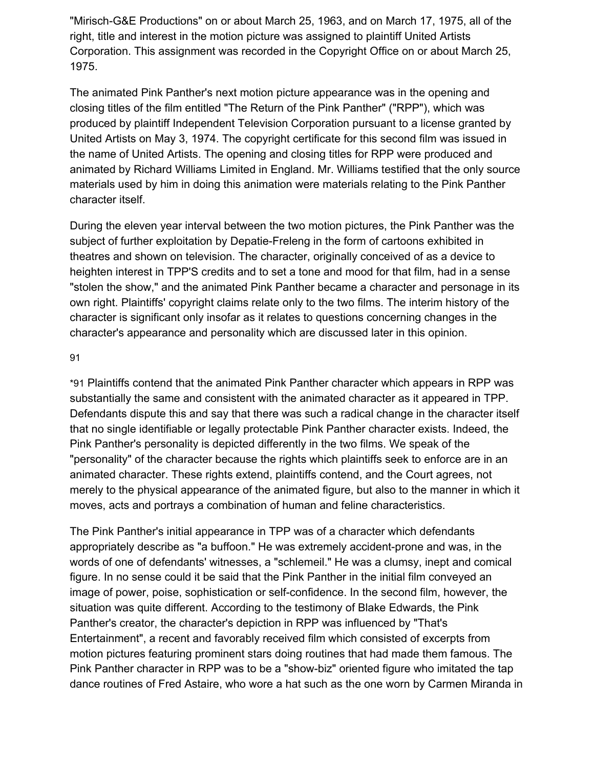"Mirisch-G&E Productions" on or about March 25, 1963, and on March 17, 1975, all of the right, title and interest in the motion picture was assigned to plaintiff United Artists Corporation. This assignment was recorded in the Copyright Office on or about March 25, 1975.

The animated Pink Panther's next motion picture appearance was in the opening and closing titles of the film entitled "The Return of the Pink Panther" ("RPP"), which was produced by plaintiff Independent Television Corporation pursuant to a license granted by United Artists on May 3, 1974. The copyright certificate for this second film was issued in the name of United Artists. The opening and closing titles for RPP were produced and animated by Richard Williams Limited in England. Mr. Williams testified that the only source materials used by him in doing this animation were materials relating to the Pink Panther character itself.

During the eleven year interval between the two motion pictures, the Pink Panther was the subject of further exploitation by Depatie-Freleng in the form of cartoons exhibited in theatres and shown on television. The character, originally conceived of as a device to heighten interest in TPP'S credits and to set a tone and mood for that film, had in a sense "stolen the show," and the animated Pink Panther became a character and personage in its own right. Plaintiffs' copyright claims relate only to the two films. The interim history of the character is significant only insofar as it relates to questions concerning changes in the character's appearance and personality which are discussed later in this opinion.

#### 9[1](https://scholar.google.com/scholar_case?case=15150795844785689931&q=united+artists&hl=en&as_sdt=6,33#p91)

\*91 Plaintiffs contend that the animated Pink Panther character which appears in RPP was substantially the same and consistent with the animated character as it appeared in TPP. Defendants dispute this and say that there was such a radical change in the character itself that no single identifiable or legally protectable Pink Panther character exists. Indeed, the Pink Panther's personality is depicted differently in the two films. We speak of the "personality" of the character because the rights which plaintiffs seek to enforce are in an animated character. These rights extend, plaintiffs contend, and the Court agrees, not merely to the physical appearance of the animated figure, but also to the manner in which it moves, acts and portrays a combination of human and feline characteristics.

The Pink Panther's initial appearance in TPP was of a character which defendants appropriately describe as "a buffoon." He was extremely accident-prone and was, in the words of one of defendants' witnesses, a "schlemeil." He was a clumsy, inept and comical figure. In no sense could it be said that the Pink Panther in the initial film conveyed an image of power, poise, sophistication or self-confidence. In the second film, however, the situation was quite different. According to the testimony of Blake Edwards, the Pink Panther's creator, the character's depiction in RPP was influenced by "That's Entertainment", a recent and favorably received film which consisted of excerpts from motion pictures featuring prominent stars doing routines that had made them famous. The Pink Panther character in RPP was to be a "show-biz" oriented figure who imitated the tap dance routines of Fred Astaire, who wore a hat such as the one worn by Carmen Miranda in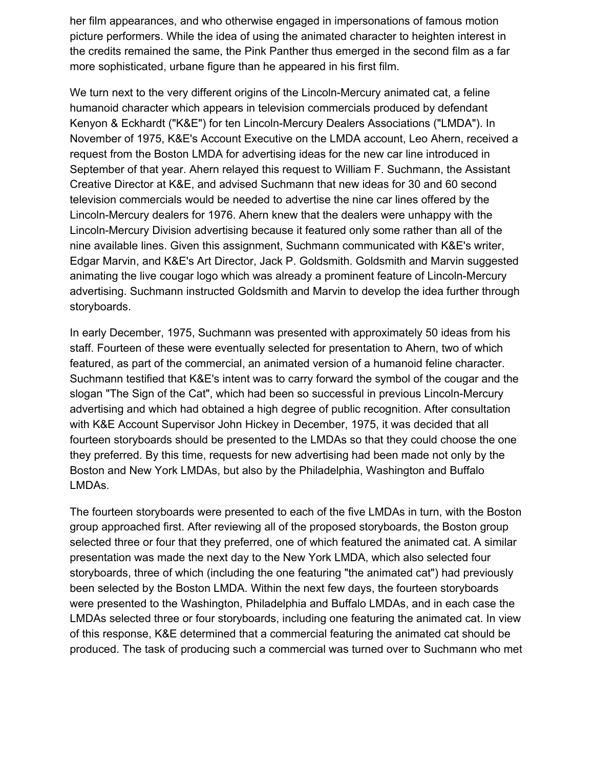her film appearances, and who otherwise engaged in impersonations of famous motion picture performers. While the idea of using the animated character to heighten interest in the credits remained the same, the Pink Panther thus emerged in the second film as a far more sophisticated, urbane figure than he appeared in his first film.

We turn next to the very different origins of the Lincoln-Mercury animated cat, a feline humanoid character which appears in television commercials produced by defendant Kenyon & Eckhardt ("K&E") for ten Lincoln-Mercury Dealers Associations ("LMDA"). In November of 1975, K&E's Account Executive on the LMDA account, Leo Ahern, received a request from the Boston LMDA for advertising ideas for the new car line introduced in September of that year. Ahern relayed this request to William F. Suchmann, the Assistant Creative Director at K&E, and advised Suchmann that new ideas for 30 and 60 second television commercials would be needed to advertise the nine car lines offered by the Lincoln-Mercury dealers for 1976. Ahern knew that the dealers were unhappy with the Lincoln-Mercury Division advertising because it featured only some rather than all of the nine available lines. Given this assignment, Suchmann communicated with K&E's writer, Edgar Marvin, and K&E's Art Director, Jack P. Goldsmith. Goldsmith and Marvin suggested animating the live cougar logo which was already a prominent feature of Lincoln-Mercury advertising. Suchmann instructed Goldsmith and Marvin to develop the idea further through storyboards.

In early December, 1975, Suchmann was presented with approximately 50 ideas from his staff. Fourteen of these were eventually selected for presentation to Ahern, two of which featured, as part of the commercial, an animated version of a humanoid feline character. Suchmann testified that K&E's intent was to carry forward the symbol of the cougar and the slogan "The Sign of the Cat", which had been so successful in previous Lincoln-Mercury advertising and which had obtained a high degree of public recognition. After consultation with K&E Account Supervisor John Hickey in December, 1975, it was decided that all fourteen storyboards should be presented to the LMDAs so that they could choose the one they preferred. By this time, requests for new advertising had been made not only by the Boston and New York LMDAs, but also by the Philadelphia, Washington and Buffalo LMDAs.

The fourteen storyboards were presented to each of the five LMDAs in turn, with the Boston group approached first. After reviewing all of the proposed storyboards, the Boston group selected three or four that they preferred, one of which featured the animated cat. A similar presentation was made the next day to the New York LMDA, which also selected four storyboards, three of which (including the one featuring "the animated cat") had previously been selected by the Boston LMDA. Within the next few days, the fourteen storyboards were presented to the Washington, Philadelphia and Buffalo LMDAs, and in each case the LMDAs selected three or four storyboards, including one featuring the animated cat. In view of this response, K&E determined that a commercial featuring the animated cat should be produced. The task of producing such a commercial was turned over to Suchmann who met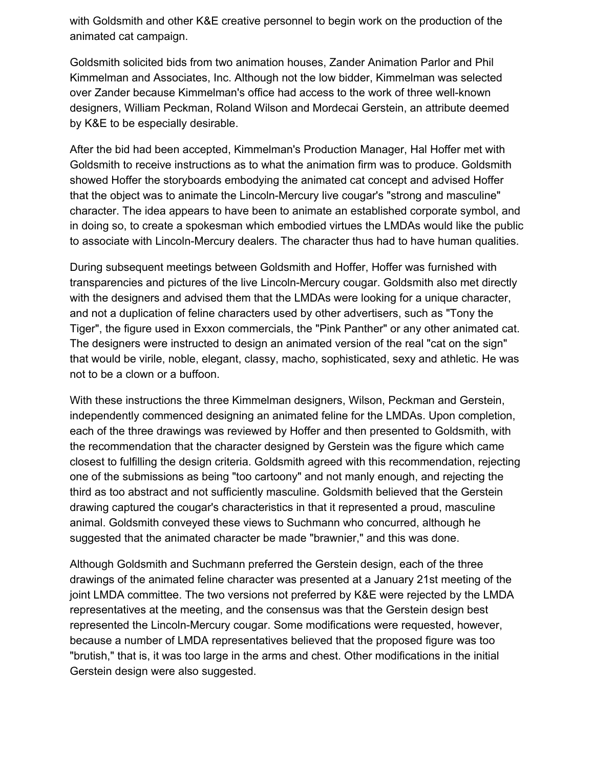with Goldsmith and other K&E creative personnel to begin work on the production of the animated cat campaign.

Goldsmith solicited bids from two animation houses, Zander Animation Parlor and Phil Kimmelman and Associates, Inc. Although not the low bidder, Kimmelman was selected over Zander because Kimmelman's office had access to the work of three well-known designers, William Peckman, Roland Wilson and Mordecai Gerstein, an attribute deemed by K&E to be especially desirable.

After the bid had been accepted, Kimmelman's Production Manager, Hal Hoffer met with Goldsmith to receive instructions as to what the animation firm was to produce. Goldsmith showed Hoffer the storyboards embodying the animated cat concept and advised Hoffer that the object was to animate the Lincoln-Mercury live cougar's "strong and masculine" character. The idea appears to have been to animate an established corporate symbol, and in doing so, to create a spokesman which embodied virtues the LMDAs would like the public to associate with Lincoln-Mercury dealers. The character thus had to have human qualities.

During subsequent meetings between Goldsmith and Hoffer, Hoffer was furnished with transparencies and pictures of the live Lincoln-Mercury cougar. Goldsmith also met directly with the designers and advised them that the LMDAs were looking for a unique character, and not a duplication of feline characters used by other advertisers, such as "Tony the Tiger", the figure used in Exxon commercials, the "Pink Panther" or any other animated cat. The designers were instructed to design an animated version of the real "cat on the sign" that would be virile, noble, elegant, classy, macho, sophisticated, sexy and athletic. He was not to be a clown or a buffoon.

With these instructions the three Kimmelman designers, Wilson, Peckman and Gerstein, independently commenced designing an animated feline for the LMDAs. Upon completion, each of the three drawings was reviewed by Hoffer and then presented to Goldsmith, with the recommendation that the character designed by Gerstein was the figure which came closest to fulfilling the design criteria. Goldsmith agreed with this recommendation, rejecting one of the submissions as being "too cartoony" and not manly enough, and rejecting the third as too abstract and not sufficiently masculine. Goldsmith believed that the Gerstein drawing captured the cougar's characteristics in that it represented a proud, masculine animal. Goldsmith conveyed these views to Suchmann who concurred, although he suggested that the animated character be made "brawnier," and this was done.

Although Goldsmith and Suchmann preferred the Gerstein design, each of the three drawings of the animated feline character was presented at a January 21st meeting of the joint LMDA committee. The two versions not preferred by K&E were rejected by the LMDA representatives at the meeting, and the consensus was that the Gerstein design best represented the Lincoln-Mercury cougar. Some modifications were requested, however, because a number of LMDA representatives believed that the proposed figure was too "brutish," that is, it was too large in the arms and chest. Other modifications in the initial Gerstein design were also suggested.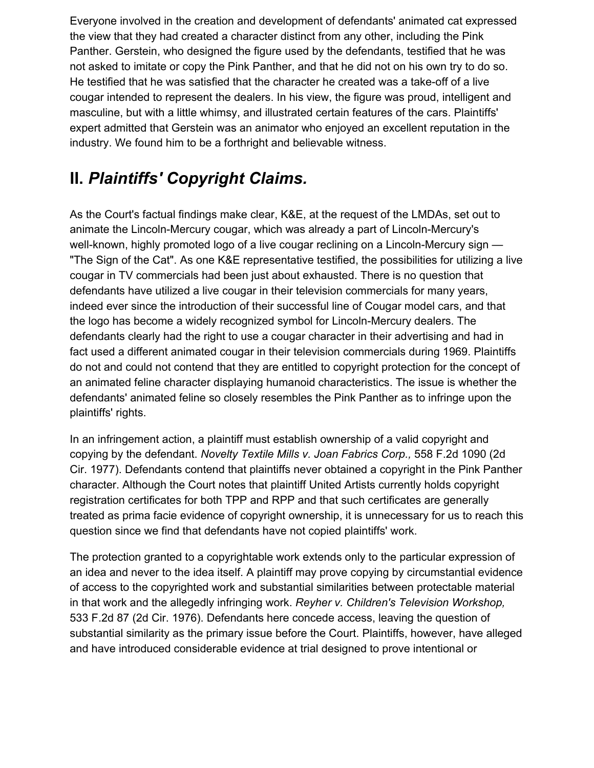Everyone involved in the creation and development of defendants' animated cat expressed the view that they had created a character distinct from any other, including the Pink Panther. Gerstein, who designed the figure used by the defendants, testified that he was not asked to imitate or copy the Pink Panther, and that he did not on his own try to do so. He testified that he was satisfied that the character he created was a take-off of a live cougar intended to represent the dealers. In his view, the figure was proud, intelligent and masculine, but with a little whimsy, and illustrated certain features of the cars. Plaintiffs' expert admitted that Gerstein was an animator who enjoyed an excellent reputation in the industry. We found him to be a forthright and believable witness.

# **II.** *Plaintiffs' Copyright Claims.*

As the Court's factual findings make clear, K&E, at the request of the LMDAs, set out to animate the Lincoln-Mercury cougar, which was already a part of Lincoln-Mercury's well-known, highly promoted logo of a live cougar reclining on a Lincoln-Mercury sign — "The Sign of the Cat". As one K&E representative testified, the possibilities for utilizing a live cougar in TV commercials had been just about exhausted. There is no question that defendants have utilized a live cougar in their television commercials for many years, indeed ever since the introduction of their successful line of Cougar model cars, and that the logo has become a widely recognized symbol for Lincoln-Mercury dealers. The defendants clearly had the right to use a cougar character in their advertising and had in fact used a different animated cougar in their television commercials during 1969. Plaintiffs do not and could not contend that they are entitled to copyright protection for the concept of an animated feline character displaying humanoid characteristics. The issue is whether the defendants' animated feline so closely resembles the Pink Panther as to infringe upon the plaintiffs' rights.

In an infringement action, a plaintiff must establish ownership of a valid copyright and copying by the defendant. *Novelty Textile Mills v. Joan Fabrics Corp.,* 558 F.2d 1090 (2d Cir. 1977). Defendants contend that plaintiffs never obtained a copyright in the Pink Panther character. Although the Court notes that plaintiff United Artists currently holds copyright registration certificates for both TPP and RPP and that such certificates are generally treated as prima facie evidence of copyright ownership, it is unnecessary for us to reach this question since we find that defendants have not copied plaintiffs' work.

The protection granted to a copyrightable work extends only to the particular expression of an idea and never to the idea itself. A plaintiff may prove copying by circumstantial evidence of access to the copyrighted work and substantial similarities between protectable material in that work and the allegedly infringing work. *Reyher v. Children's Television Workshop,* 533 F.2d 87 (2d Cir. 1976). Defendants here concede access, leaving the question of substantial similarity as the primary issue before the Court. Plaintiffs, however, have alleged and have introduced considerable evidence at trial designed to prove intentional or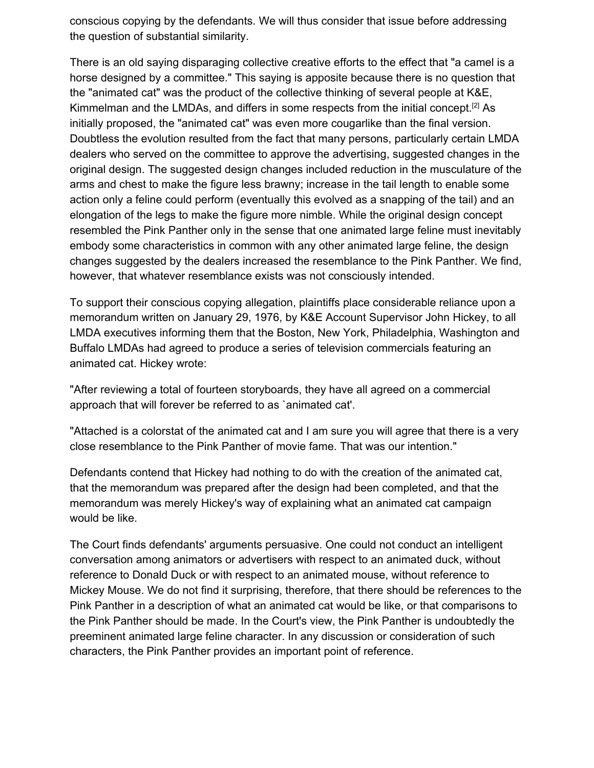conscious copying by the defendants. We will thus consider that issue before addressing the question of substantial similarity.

There is an old saying disparaging collective creative efforts to the effect that "a camel is a horse designed by a committee." This saying is apposite because there is no question that the "animated cat" was the product of the collective thinking of several people at K&E, Kimmelman and the LMDAs, and differs in some respects from the initial concept.<sup>[2]</sup> As initially proposed, the "animated cat" was even more cougarlike than the final version. Doubtless the evolution resulted from the fact that many persons, particularly certain LMDA dealers who served on the committee to approve the advertising, suggested changes in the original design. The suggested design changes included reduction in the musculature of the arms and chest to make the figure less brawny; increase in the tail length to enable some action only a feline could perform (eventually this evolved as a snapping of the tail) and an elongation of the legs to make the figure more nimble. While the original design concept resembled the Pink Panther only in the sense that one animated large feline must inevitably embody some characteristics in common with any other animated large feline, the design changes suggested by the dealers increased the resemblance to the Pink Panther. We find, however, that whatever resemblance exists was not consciously intended.

To support their conscious copying allegation, plaintiffs place considerable reliance upon a memorandum written on January 29, 1976, by K&E Account Supervisor John Hickey, to all LMDA executives informing them that the Boston, New York, Philadelphia, Washington and Buffalo LMDAs had agreed to produce a series of television commercials featuring an animated cat. Hickey wrote:

"After reviewing a total of fourteen storyboards, they have all agreed on a commercial approach that will forever be referred to as `animated cat'.

"Attached is a colorstat of the animated cat and I am sure you will agree that there is a very close resemblance to the Pink Panther of movie fame. That was our intention."

Defendants contend that Hickey had nothing to do with the creation of the animated cat, that the memorandum was prepared after the design had been completed, and that the memorandum was merely Hickey's way of explaining what an animated cat campaign would be like.

The Court finds defendants' arguments persuasive. One could not conduct an intelligent conversation among animators or advertisers with respect to an animated duck, without reference to Donald Duck or with respect to an animated mouse, without reference to Mickey Mouse. We do not find it surprising, therefore, that there should be references to the Pink Panther in a description of what an animated cat would be like, or that comparisons to the Pink Panther should be made. In the Court's view, the Pink Panther is undoubtedly the preeminent animated large feline character. In any discussion or consideration of such characters, the Pink Panther provides an important point of reference.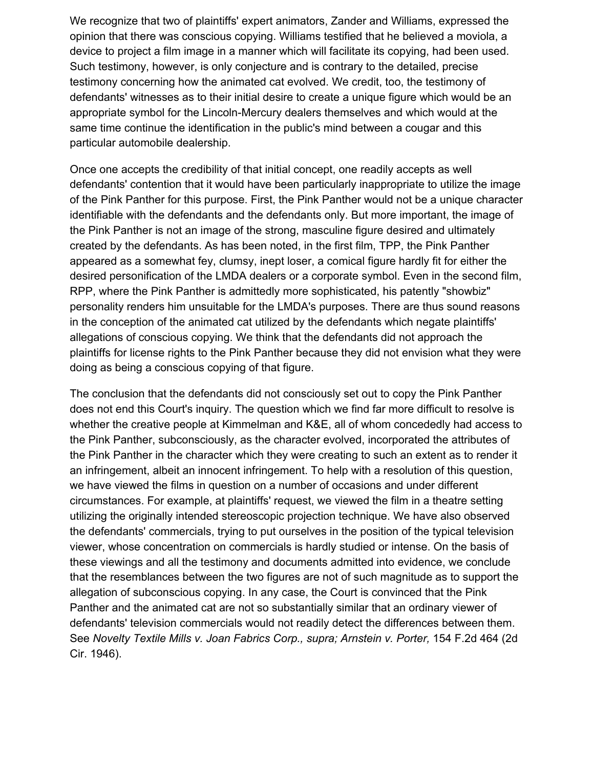We recognize that two of plaintiffs' expert animators, Zander and Williams, expressed the opinion that there was conscious copying. Williams testified that he believed a moviola, a device to project a film image in a manner which will facilitate its copying, had been used. Such testimony, however, is only conjecture and is contrary to the detailed, precise testimony concerning how the animated cat evolved. We credit, too, the testimony of defendants' witnesses as to their initial desire to create a unique figure which would be an appropriate symbol for the Lincoln-Mercury dealers themselves and which would at the same time continue the identification in the public's mind between a cougar and this particular automobile dealership.

Once one accepts the credibility of that initial concept, one readily accepts as well defendants' contention that it would have been particularly inappropriate to utilize the image of the Pink Panther for this purpose. First, the Pink Panther would not be a unique character identifiable with the defendants and the defendants only. But more important, the image of the Pink Panther is not an image of the strong, masculine figure desired and ultimately created by the defendants. As has been noted, in the first film, TPP, the Pink Panther appeared as a somewhat fey, clumsy, inept loser, a comical figure hardly fit for either the desired personification of the LMDA dealers or a corporate symbol. Even in the second film, RPP, where the Pink Panther is admittedly more sophisticated, his patently "showbiz" personality renders him unsuitable for the LMDA's purposes. There are thus sound reasons in the conception of the animated cat utilized by the defendants which negate plaintiffs' allegations of conscious copying. We think that the defendants did not approach the plaintiffs for license rights to the Pink Panther because they did not envision what they were doing as being a conscious copying of that figure.

The conclusion that the defendants did not consciously set out to copy the Pink Panther does not end this Court's inquiry. The question which we find far more difficult to resolve is whether the creative people at Kimmelman and K&E, all of whom concededly had access to the Pink Panther, subconsciously, as the character evolved, incorporated the attributes of the Pink Panther in the character which they were creating to such an extent as to render it an infringement, albeit an innocent infringement. To help with a resolution of this question, we have viewed the films in question on a number of occasions and under different circumstances. For example, at plaintiffs' request, we viewed the film in a theatre setting utilizing the originally intended stereoscopic projection technique. We have also observed the defendants' commercials, trying to put ourselves in the position of the typical television viewer, whose concentration on commercials is hardly studied or intense. On the basis of these viewings and all the testimony and documents admitted into evidence, we conclude that the resemblances between the two figures are not of such magnitude as to support the allegation of subconscious copying. In any case, the Court is convinced that the Pink Panther and the animated cat are not so substantially similar that an ordinary viewer of defendants' television commercials would not readily detect the differences between them. See *Novelty Textile Mills v. Joan Fabrics Corp., supra; Arnstein v. Porter,* 154 F.2d 464 (2d Cir. 1946).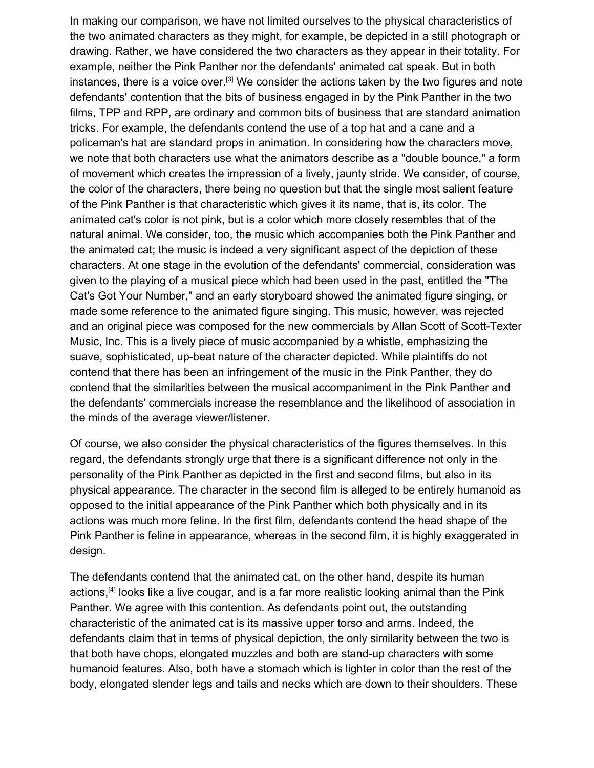In making our comparison, we have not limited ourselves to the physical characteristics of the two animated characters as they might, for example, be depicted in a still photograph or drawing. Rather, we have considered the two characters as they appear in their totality. For example, neither the Pink Panther nor the defendants' animated cat speak. But in both instances, there is a voice over.<sup>[3]</sup> We consider the actions taken by the two figures and note defendants' contention that the bits of business engaged in by the Pink Panther in the two films, TPP and RPP, are ordinary and common bits of business that are standard animation tricks. For example, the defendants contend the use of a top hat and a cane and a policeman's hat are standard props in animation. In considering how the characters move, we note that both characters use what the animators describe as a "double bounce," a form of movement which creates the impression of a lively, jaunty stride. We consider, of course, the color of the characters, there being no question but that the single most salient feature of the Pink Panther is that characteristic which gives it its name, that is, its color. The animated cat's color is not pink, but is a color which more closely resembles that of the natural animal. We consider, too, the music which accompanies both the Pink Panther and the animated cat; the music is indeed a very significant aspect of the depiction of these characters. At one stage in the evolution of the defendants' commercial, consideration was given to the playing of a musical piece which had been used in the past, entitled the "The Cat's Got Your Number," and an early storyboard showed the animated figure singing, or made some reference to the animated figure singing. This music, however, was rejected and an original piece was composed for the new commercials by Allan Scott of Scott-Texter Music, Inc. This is a lively piece of music accompanied by a whistle, emphasizing the suave, sophisticated, up-beat nature of the character depicted. While plaintiffs do not contend that there has been an infringement of the music in the Pink Panther, they do contend that the similarities between the musical accompaniment in the Pink Panther and the defendants' commercials increase the resemblance and the likelihood of association in the minds of the average viewer/listener.

Of course, we also consider the physical characteristics of the figures themselves. In this regard, the defendants strongly urge that there is a significant difference not only in the personality of the Pink Panther as depicted in the first and second films, but also in its physical appearance. The character in the second film is alleged to be entirely humanoid as opposed to the initial appearance of the Pink Panther which both physically and in its actions was much more feline. In the first film, defendants contend the head shape of the Pink Panther is feline in appearance, whereas in the second film, it is highly exaggerated in design.

The defendants contend that the animated cat, on the other hand, despite its human actions,<sup>[4]</sup> looks like a live cougar, and is a far more realistic looking animal than the Pink Panther. We agree with this contention. As defendants point out, the outstanding characteristic of the animated cat is its massive upper torso and arms. Indeed, the defendants claim that in terms of physical depiction, the only similarity between the two is that both have chops, elongated muzzles and both are stand-up characters with some humanoid features. Also, both have a stomach which is lighter in color than the rest of the body, elongated slender legs and tails and necks which are down to their shoulders. These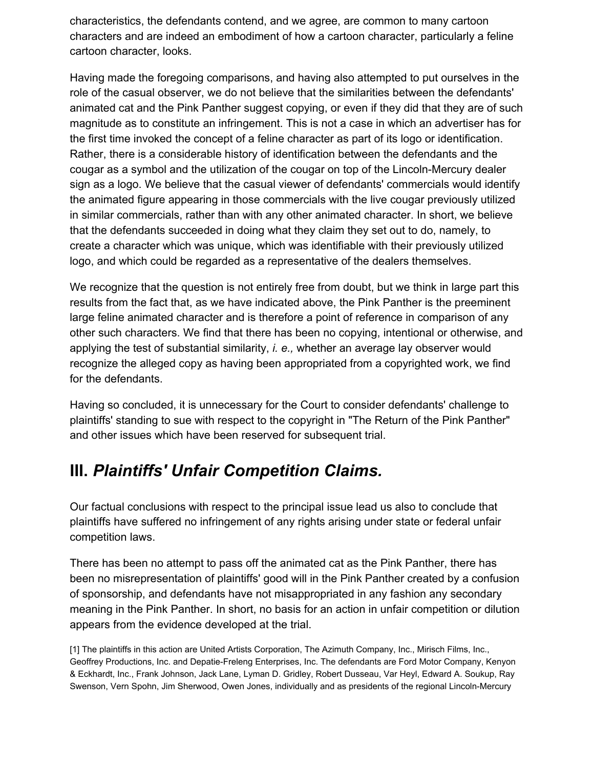characteristics, the defendants contend, and we agree, are common to many cartoon characters and are indeed an embodiment of how a cartoon character, particularly a feline cartoon character, looks.

Having made the foregoing comparisons, and having also attempted to put ourselves in the role of the casual observer, we do not believe that the similarities between the defendants' animated cat and the Pink Panther suggest copying, or even if they did that they are of such magnitude as to constitute an infringement. This is not a case in which an advertiser has for the first time invoked the concept of a feline character as part of its logo or identification. Rather, there is a considerable history of identification between the defendants and the cougar as a symbol and the utilization of the cougar on top of the Lincoln-Mercury dealer sign as a logo. We believe that the casual viewer of defendants' commercials would identify the animated figure appearing in those commercials with the live cougar previously utilized in similar commercials, rather than with any other animated character. In short, we believe that the defendants succeeded in doing what they claim they set out to do, namely, to create a character which was unique, which was identifiable with their previously utilized logo, and which could be regarded as a representative of the dealers themselves.

We recognize that the question is not entirely free from doubt, but we think in large part this results from the fact that, as we have indicated above, the Pink Panther is the preeminent large feline animated character and is therefore a point of reference in comparison of any other such characters. We find that there has been no copying, intentional or otherwise, and applying the test of substantial similarity, *i. e.,* whether an average lay observer would recognize the alleged copy as having been appropriated from a copyrighted work, we find for the defendants.

Having so concluded, it is unnecessary for the Court to consider defendants' challenge to plaintiffs' standing to sue with respect to the copyright in "The Return of the Pink Panther" and other issues which have been reserved for subsequent trial.

### **III.** *Plaintiffs' Unfair Competition Claims.*

Our factual conclusions with respect to the principal issue lead us also to conclude that plaintiffs have suffered no infringement of any rights arising under state or federal unfair competition laws.

There has been no attempt to pass off the animated cat as the Pink Panther, there has been no misrepresentation of plaintiffs' good will in the Pink Panther created by a confusion of sponsorship, and defendants have not misappropriated in any fashion any secondary meaning in the Pink Panther. In short, no basis for an action in unfair competition or dilution appears from the evidence developed at the trial.

[1] The plaintiffs in this action are United Artists Corporation, The Azimuth Company, Inc., Mirisch Films, Inc., Geoffrey Productions, Inc. and Depatie-Freleng Enterprises, Inc. The defendants are Ford Motor Company, Kenyon & Eckhardt, Inc., Frank Johnson, Jack Lane, Lyman D. Gridley, Robert Dusseau, Var Heyl, Edward A. Soukup, Ray Swenson, Vern Spohn, Jim Sherwood, Owen Jones, individually and as presidents of the regional Lincoln-Mercury